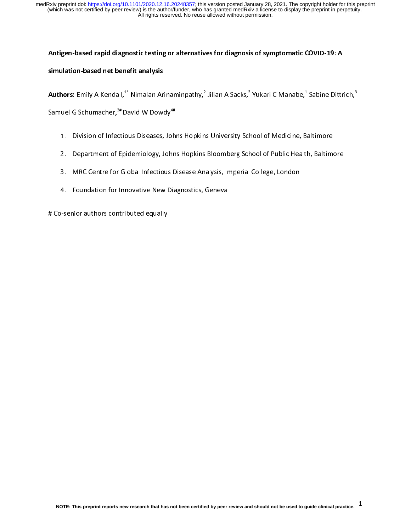### Antigen-based rapid diagnostic testing or alternatives for diagnosis of symptomatic COVID-19: A

# simulation-based net benefit analysis

- 
- Authors: Emily A Kendall,<sup>2</sup> Nimalan Arinaminpathy,<sup>2</sup><br>Samuel G Schumacher,<sup>3#</sup> David W Dowdy<sup>4#</sup><br>1. Division of Infectious Diseases, Johns Hopkin<br>2. Department of Epidemiology, Johns Hopkins<br>3. MRC Centre for Global Infec Jilian A Sacks,"<br>s University Sch<br>Bloomberg Sch<br>alysis, Imperial Yukari C Manabe,<sup>+</sup><br>1001 of Medicine, B<br>1001 of Public Healt<br>College, London Sabine Dittrich,"<br>altimore<br>h, Baltimore Samuel G Schumacher,<sup>3#</sup> David W Dowdy<sup>4#</sup><br>1. Division of Infectious Diseases, John<br>2. Department of Epidemiology, John<br>3. MRC Centre for Global Infectious D<br>4. Foundation for Innovative New Dia 2. Department of Epidemiology, Johns Hopkins Bloomberg School of Public Health, Baltimo<br>3. MRC Centre for Global Infectious Disease Analysis, Imperial College, London<br>4. Foundation for Innovative New Diagnostics, Geneva<br>-s
	- 2. Department of Epidemiology, Johns Hopkins Bloomberg School of Public Health (1988)<br>3. MRC Centre for Global Infectious Disease Analysis, Imperial College, London<br>4. Foundation for Innovative New Diagnostics, Geneva<br>-sen
	- 3. Foundation for Innovative New Diagnostics, Geneva<br>3. Machines Contre Foundations Contributed equally<br>3. Machines Contributed equally

4. Foundation for Innovative New Diagnostics, Geneva<br>-<br>Senior authors contributed equally # Co-senior authors contributed equally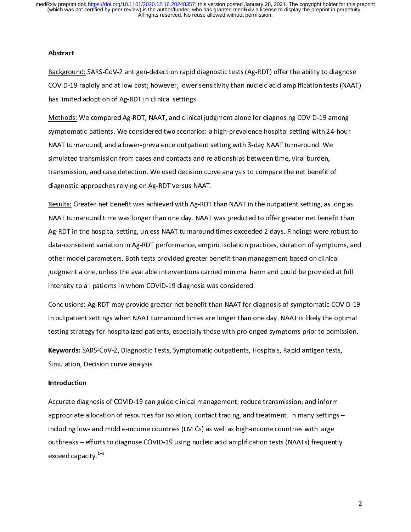### Abstract

Background: SARS-COVID-19 rapidly and at low cost; however, lower sensitivity than nucleic acid amplification tests (NAAT<br>has limited adoption of Ag-RDT in clinical settings.<br>Methods: We compared Ag-RDT, NAAT, and clinical The limited adoption of Ag-RDT in clinical settings.<br>COVID-19 among the compared Ag-RDT, NAAT, and clinical judgment alone for diagnosing COVID-19 among<br>symptomatic patients. We considered two scenarios: a high-prevalence Methods: We compared Ag-RDT, NAAT, and clinical symptomatic patients. We considered two scenarion NAAT turnaround, and a lower-prevalence outpation simulated transmission from cases and contacts are transmission, and case Symptomatic patients. We considered two scenarios: a high-prevalence hospital setting with 24-hour<br>NAAT turnaround, and a lower-prevalence outpatient setting with 3-day NAAT turnaround. We<br>simulated transmission from cases Symptomate patients. We considered the considered the patients in particular patients. We simulated transmission from cases and contacts and relationships between time, viral burden, transmission, and case detection. We us Simulated transmission from cases and contacts and relationships between time, viral burden,<br>transmission, and case detection. We used decision curve analysis to compare the net benefit o<br>diagnostic approaches relying on A

stransmission, and case detection. We used decision curve analysis to compare the net benefit or diagnostic approaches relying on Ag-RDT versus NAAT.<br>Results: Greater net benefit was achieved with Ag-RDT than NAAT in the o diagnostic approaches relying on Ag-RDT versus NAAT.<br>The sexults: Greater net benefit was achieved with Ag-RDT than NAAT in the outpatient setting, as lo<br>NAAT turnaround time was longer than one day. NAAT was predicted to Results: Greater net benefit was achieved with Ag-RDT<br>NAAT turnaround time was longer than one day. NAAT<br>Ag-RDT in the hospital setting, unless NAAT turnaround<br>data-consistent variation in Ag-RDT performance, empi<br>other mo MAAT turnaround time was longer than one day. NAAT was predicted to offer greater net benefit than Ag-RDT in the hospital setting, unless NAAT turnaround times exceeded 2 days. Findings were robust to data-consistent varia NAAT TURNAT TURNAT TURNAT TURNAT TURNAT TURNAT TURNAT TURNAT TURNAT TURNAT TURNAT TURNAT TURNAT TURNAT TURNAT<br>Ag-RDT in the hospital setting, unless NAAT turnaround times exceeded 2 days. Findings were robust to<br>data-consi Agricular consistent variation in Ag-RDT performance, empiric isolation practices, duration of symptoms, and<br>other model parameters. Both tests provided greater benefit than management based on clinical<br>judgment alone, unl data-consistent variation in an agement based on clinical<br>independent alone, unless the available interventions carried minimal harm and could be provided at full<br>intensity to all patients in whom COVID-19 diagnosis was co

Judgment alone, unless the available interventions carried minimal harm and could be provided at<br>intensity to all patients in whom COVID-19 diagnosis was considered.<br><u>Conclusions:</u> Ag-RDT may provide greater net benefit th judgment alone, unless the available intervention and considered.<br>Intensity to all patients in whom COVID-19 diagnosis was considered.<br><u>Conclusions:</u> Ag-RDT may provide greater net benefit than NAAT for diagnosis of sympto Conclusions: Ag-RDT may provide greater net benefit than NAAT for d<br>in outpatient settings when NAAT turnaround times are longer than o<br>testing strategy for hospitalized patients, especially those with prolon<br>**Keywords:** S Conclusions: A Text in outpatient settings when NAAT turnaround times are longer than one day. NAAT is likely the optimal<br>testing strategy for hospitalized patients, especially those with prolonged symptoms prior to admiss

in outpatient setting strategy for hospitalized patients, especially those with prolonged symptoms prior to admission.<br> **Keywords:** SARS-CoV-2, Diagnostic Tests, Symptomatic outpatients, Hospitals, Rapid antigen tests,<br>
Si teywords: SARS-CoV-2, Diagnostic Tests, Symptomatic outpatients, Hospitals, Rapid antigen tests,<br>Simulation, Decision curve analysis<br>Introduction<br>Accurate diagnosis of COVID-19 can guide clinical management; reduce transmi

### Introduction

Keywords: SARS-CoV-2, Diagnostic Tests, Symptomatic outpatients, Hospitals, Rapid antigen tests,<br>Simulation, Decision curve analysis<br>Introduction<br>Accurate diagnosis of COVID-19 can guide clinical management; reduce transmi Introduction<br>Accurate diagnosis of COVID-19 car<br>appropriate allocation of resources<br>including low- and middle-income c<br>outbreaks – efforts to diagnose COV Appropriate allocation of resources for isolation, contact tracing, and treatment. In many settings<br>including low- and middle-income countries (LMICs) as well as high-income countries with large<br>outbreaks – efforts to diag including low- and middle-income countries (LMICs) as well as high-income countries with large<br>outbreaks – efforts to diagnose COVID-19 using nucleic acid amplification tests (NAATs) frequently<br>exceed capacity.<sup>1–3</sup> outbreaks – efforts to diagnose COVID-19 using nucleic acid amplification tests (NAATs) frequent<br>exceed capacity.<sup>1-3</sup><br>exceed capacity.<sup>1-3</sup>  $\mathsf{exceed\, capacity.}^\mathsf{1--3}$ exceed capacity.<sup>1–3</sup><br>Apple of the control<br>of the control of the control of the control of the control of the control of the control of the control of the<br>Apple control of the control of the control of the control of the c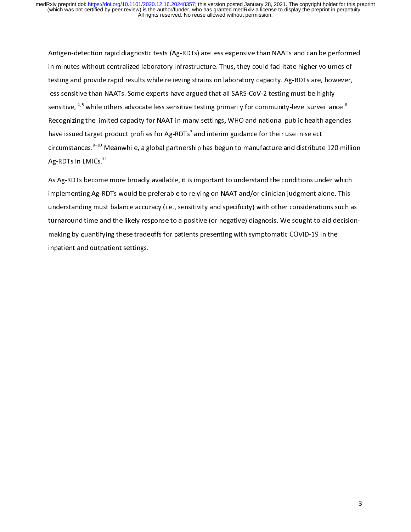Antigen-detection rapid angularity respectively, and suppose input than the material repertomers of<br>
in minutes without centralized laboratory infrastructure. Thus, they could facilitate higher volumes of<br>
testing and prov in minutes without centralized laboratory, minutes with compyring the setting and provide rapid results while relieving strains on laboratory capacity. Ag-RDTs are, however, less sensitive than NAATs. Some experts have arg less sensitive than NAATs. Some experts have argued that all SARS-CoV-2 testing must be highly<br>sensitive, <sup>4,5</sup> while others advocate less sensitive testing primarily for community-level surveillance. <sup>6</sup><br>Recognizing the sensitive, <sup>4,5</sup> while others advocate less sensitive testing primarily for community-level surveillan<br>Recognizing the limited capacity for NAAT in many settings, WHO and national public health age<br>have issued target prod sensitive, <sup>4,5</sup> while others advocate less sensitive testing primarily for community-level surveillance.<sup>8</sup><br>Recognizing the limited capacity for NAAT in many settings, WHO and national public health agencie<br>have issued ta  $\begin{array}{c} \n \text{if } \mathbf{0} \text{ is } \mathbf{0} \text{ is } \mathbf{0} \text{ is } \mathbf{0} \text{ is } \mathbf{0} \text{ is } \mathbf{0} \text{ is } \mathbf{0} \text{ is } \mathbf{0} \text{ is } \mathbf{0} \text{ is } \mathbf{0} \text{ is } \mathbf{0} \text{ is } \mathbf{0} \text{ is } \mathbf{0} \text{ is } \mathbf{0} \text{ is } \mathbf{0} \text{ is } \mathbf{0} \text{ is } \mathbf{0} \text{ is } \mathbf{0} \text{ is } \mathbf{0} \text$ have issued target product profiles for Ag-RDTs<sup>7</sup> and interim guidance for their use in select<br>circumstances. <sup>8-10</sup> Meanwhile, a global partnership has begun to manufacture and distribute 120 milli<br>Ag-RDTs in LMICs.<sup>11</sup><br>

have issued target product profiles for Ag-RDTs'<br>circumstances.<sup>8-10</sup> Meanwhile, a global partnersl<br>Ag-RDTs in LMICs.<sup>11</sup><br>As Ag-RDTs become more broadly available, it is<br>implementing Ag-RDTs would be preferable to runderst and interims guidance for them are in select<br>hip has begun to manufacture and distribute<br>important to understand the conditions under<br>elying on NAAT and/or clinician judgment alerticity and specificity) with other consider circumstances.<sup>812</sup> Meanwhile, a global partnership has begun to manufacture and distribute 120 million Ag-RDTs in LMICs.<sup>11</sup><br>As Ag-RDTs become more broadly available, it is important to understand the conditions under whi Ag-RDTs in LMICs.<sup>11</sup><br>As Ag-RDTs become<br>implementing Ag-RD<br>understanding must<br>turnaround time and<br>making by quantifyin As Ag-RDTs would be preferable to relying on NAAT and/or clinician judgment alone. This understanding must balance accuracy (i.e., sensitivity and specificity) with other considerations such a turnaround time and the likel inderstanding must balance accuracy (i.e., sensitivity and specificity) with other considerations such a<br>turnaround time and the likely response to a positive (or negative) diagnosis. We sought to aid decision<br>making by qu understanding must balance accuracy (i.e., sensitive, must permany), must be considered and accuracy turnaround time and the likely response to a positive (or negative) diagnosis. We sought to aid decision-<br>making by quant inpatient and outpatient settings. inpatient and outpatient settings.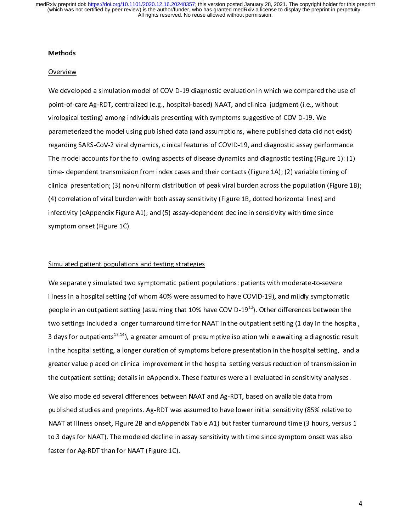### Methods

We develo<br>Point-of-c<br>point-of-c<br>parameter<br>regarding point-of-care Ag-RDT, centralized (e.g., hospital-based) NAAT, and clinical judgment (i.e., without<br>virological testing) among individuals presenting with symptoms suggestive of COVID-19. We<br>parameterized the model using p point-of-care Ag-RDT, centralized (e.g., hospital-based), i.e. and clinical-geographs (i.e., minister virtological testing) among individuals presenting with symptoms suggestive of COVID-19. We parameterized the model usin parameterized the model using published data (and assumptions, where published data did n<br>regarding SARS-CoV-2 viral dynamics, clinical features of COVID-19, and diagnostic assay perfor-<br>The model accounts for the followin parameterized in the model and arm of published the model (and assumption) inter-published data data data data<br>regarding SARS-CoV-2 viral dynamics, clinical features of COVID-19, and diagnostic assay performance.<br>The model regarding Same Sare Tartata, Jaman Sare Tartata (Tartata Sare Tartata Sare Tartata Sare Tartata Sare Tartata T<br>The model accounts for the following aspects of disease dynamics and diagnostic testing (Figure 1): (1)<br>time- d time- dependent transmission from index cases and their contacts (Figure 1A); (2) variable timing of<br>clinical presentation; (3) non-uniform distribution of peak viral burden across the population (Figure 1B<br>(4) correlatio timical presentation; (3) non-uniform distribution of peak viral burden across the population (Figure (4) correlation of viral burden with both assay sensitivity (Figure 1B, dotted horizontal lines) and infectivity (eAppen clinical presentation; (3) non-annihorm distribution peak viral burden across the population; (3) as 23),<br>(4) correlation of viral burden with both assay sensitivity (Figure 1B, dotted horizontal lines) and<br>infectivity (eA (4) correlation of viral burden with both assay-dependent decline in sensitivity with time since<br>symptom onset (Figure 1C).<br>Simulated patient populations and testing strategies<br>We senarately simulated two symptomatic patie

symptom onset (Figure 1C).<br>Simulated patient populations and testing strategies<br>We separately simulated two symptomatic patient populations: patients with moderate-to-seve<br>illness in a bosnital setting (of whom 40% were as symptom onset (Figure 22).<br>Simulated patient population<br>We separately simulated twillness in a hospital setting (consete). eri<br>|<br>|<br>| We separately simulated two symptomatic patient populations in a hospital setting (of whom 40% were assum people in an outpatient setting (assuming that 10% h<br>two settings included a longer turnaround time for N<br>3 days for illness in a hospital setting (of whom 40% were assumed to have COVID-19), and mildly symptomat<br>people in an outpatient setting (assuming that 10% have COVID-19<sup>12</sup>). Other differences between t<br>two settings included a lon people in an outpatient setting (assuming that 10% have COVID-19<sup>12</sup>). Other differences between the<br>two settings included a longer turnaround time for NAAT in the outpatient setting (1 day in the hospit<br>3 days for outpati people in an outpatient setting (assuming that 10% have COVID-19<sup>22</sup>). Other differences between the<br>two settings included a longer turnaround time for NAAT in the outpatient setting (1 day in the hospit<br>3 days for outpati the hospital setting, a longer duration of presumptive isolation while awaiting a diagnostic result<br>in the hospital setting, a longer duration of symptoms before presentation in the hospital setting, and a<br>greater value pl 3 days for outpatients<sup>19,21</sup>), a greater amount of presumptive isolation while awaiting a diagnostic result<br>in the hospital setting, a longer duration of symptoms before presentation in the hospital setting, and a<br>greater

greater value placed on clinical improvement in the hospital setting versus reduction of transmission in<br>the outpatient setting; details in eAppendix. These features were all evaluated in sensitivity analyses.<br>We also mode greate outpatient setting; details in eAppendix. These features were all evaluated in sensitivity analyses.<br>We also modeled several differences between NAAT and Ag-RDT, based on available data from<br>published studies and pr the outpatient setting; a station of perimum interaction of the outpatient setting; analyses<br>We also modeled several differences between NAAT and Ag-RDT, based on available data from<br>published studies and preprints. Ag-RDT published studies and preprints. Ag-RDT was assumed to have lower initial sensitivity (85% relat<br>NAAT at illness onset, Figure 2B and eAppendix Table A1) but faster turnaround time (3 hours, v<br>to 3 days for NAAT). The mode published studies and preprinting the contracted to have lower initial sensitivity, (exceptions of NAAT at illness onset, Figure 2B and eAppendix Table A1) but faster turnaround time (3 hours, versus is<br>to 3 days for NAAT) NAAT AT INTERTATION IN EXPLORATION INTERFERING INTERFERING IN A LIMITATION INTERFERING ORDER TO A BARY SERVER E<br>The Saddys for NAAT). The modeled decline in assay sensitivity with time since symptom onset was also<br>faster f faster for Ag-RDT than for NAAT (Figure 1C).<br>The model of models with the models with time since symptom on since symptom on since symptom on since symptom on since symptom on since symptom on since symptom on since sympto faster for  $\mathcal{C}$  and  $\mathcal{C}$  and  $\mathcal{C}$ .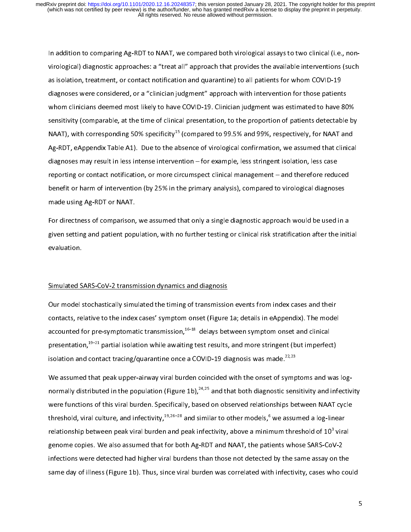In addition to comparing Ag-RDT to NAAT, we compared both virological assays to two clinical (i.e., nonas isolation, treatment, or contact notification and quarantine) to all patients for whom COVID-19<br>diagnoses were considered, or a "clinician judgment" approach with intervention for those patients<br>whom clinicians deemed m diagnoses were considered, or a "clinician judgment" approach with intervention for those patient<br>whom clinicians deemed most likely to have COVID-19. Clinician judgment was estimated to have {<br>sensitivity (comparable, at whom clinicians deemed most likely to have COVID-19. Clinician judgment was estimated to have 80<br>sensitivity (comparable, at the time of clinical presentation, to the proportion of patients detectable<br>NAAT), with correspon which comparable, at the time of clinical presentation, to the proportion of patients detectable by<br>NAAT), with corresponding 50% specificity<sup>15</sup> (compared to 99.5% and 99%, respectively, for NAAT and<br>Ag-RDT, eAppendix Tab NAAT), with corresponding 50% specificity<sup>15</sup> (compared to 99.5% and 99%, respectively, for NAAT and<br>Ag-RDT, eAppendix Table A1). Due to the absence of virological confirmation, we assumed that clinical<br>diagnoses may resul NAAT), with corresponding 50% specificity<sup>15</sup> (compared to 99.5% and 99%, respectively, for NAAT and NAAT), with corresponding 50% specificity<sup>52</sup> (compared to 99.5% and 99%, respectively, for NAAT and Ag-RDT, eAppendix Table A1). Due to the absence of virological confirmation, we assumed that clinica<br>diagnoses may result Agric A). Duppendix Table Table and absolute Confirmation, the absolution, less case<br>reporting or contact notification, or more circumspect clinical management – and therefore reduced<br>benefit or harm of intervention (by 25 diagnonum examples are provided in a management – and therefore redurdenefit or harm of intervention (by 25% in the primary analysis), compared to virological diagnosm<br>ande using Ag-RDT or NAAT.<br>For directness of compariso

benefit or harm of intervention (by 25% in the primary analysis), compared to virological diagnoses<br>made using Ag-RDT or NAAT.<br>For directness of comparison, we assumed that only a single diagnostic approach would be used i benefit or harm of intervention (b) 25% in the primary analysis), compared to virological angulation<br>made using Ag-RDT or NAAT.<br>For directness of comparison, we assumed that only a single diagnostic approach would be used E are directness of comparison,<br>given setting and patient poplevaluation.<br>Simulated SARS CoV 2 transm For an extrins of comparison, as are antenna, a single angles only a single comparison of the initeration and patient population.<br>Evaluation.<br>Simulated SARS-CoV-2 transmission dynamics and diagnosis<br>Our model stochasticall

given setting and patient population, with the internal patient population, and diagnosis contacts and their contacts stratification in the index cases and their contacts relative to the index cases' symptom opes! (Figure Simulated S<br>Simulated S<br>Our model s<br>contacts, re ؟<br>-<br>|}<br>|} Simulated States Cournal Cournal Cournal Cournal Cournal Cournal Cournal Cournal Cournal Cournal Cournal Court<br>Contacts, relative to the index cases' symptom onset (Figure<br>accounted for pre-symptomatic transmission, <sup>16–18</sup> contacts, relative to the index cases' symptom onset (Figure 1a; details in eAppendix). The mode<br>accounted for pre-symptomatic transmission,  $^{16-18}$  delays between symptom onset and clinical<br>presentation,  $^{19-21}$  part accounted for pre-symptomatic transmission,  $16-18$  delays between symptom onset and clinical<br>presentation,  $19-21$  partial isolation while awaiting test results, and more stringent (but imperfect)<br>isolation and contact t

accounted for pre-symptomatic transmission, <sup>16–18</sup> delays between symptom onset and clinical<br>presentation,<sup>19–21</sup> partial isolation while awaiting test results, and more stringent (but imperfec<br>isolation and contact trac presentation, partial isolation while awaiting test results, and more stringent (but imperfect)<br>isolation and contact tracing/quarantine once a COVID-19 diagnosis was made.<sup>22,23</sup><br>We assumed that peak upper-airway viral bu isolation and contact tracing/quarantine once a COVID-19 diagnosis was made.<sup>22,23</sup><br>We assumed that peak upper-airway viral burden coincided with the onset of symp<br>normally distributed in the population (Figure 1b),<sup>24,25</sup> infections were detected had higher viral burdens than those not detected by the same assay on the normally distributed in the population (Figure 1b),<sup>24,22</sup> and that both diagnostic sensitivity and infectivity<br>were functions of this viral burden. Specifically, based on observed relationships between NAAT cycle<br>threshol were functions of this share functions, the same of the models,<sup>6</sup> we assumed a log-linear relationship between peak viral burden and peak infectivity, above a minimum threshold of 10<sup>3</sup> viral genome copies. We also assume threshold, viral culture, and infectivity,<sup>19,26</sup> <sup>20</sup> and similar to other models,<sup>8</sup><br>relationship between peak viral burden and peak infectivity, above a minir<br>genome copies. We also assumed that for both Ag-RDT and NAAT num threshold of 10<sup>3</sup> vira<br>ients whose SARS-CoV-2<br>I by the same assay on the<br>h infectivity, cases who co relationship between peak viral burden and peak infectivity, above a minimum threshold of 10°<br>genome copies. We also assumed that for both Ag-RDT and NAAT, the patients whose SARS-Co\<br>infections were detected had higher vi /-2<br>n the<br>าง coเ infections were detected had higher viral burdens than those not detected by the same assay on th<br>same day of illness (Figure 1b). Thus, since viral burden was correlated with infectivity, cases who c<br>covers whose SARS-Cov infectivity, cases who couse of illness (Figure 1b). Thus, since viral burden was correlated with infectivity, cases who couse of detections of the same detection of the same assame as  $\epsilon$ same day of illness (Figure 1b). Thus, since viral burden was correlated with infectivity,  $\rho$  cases who could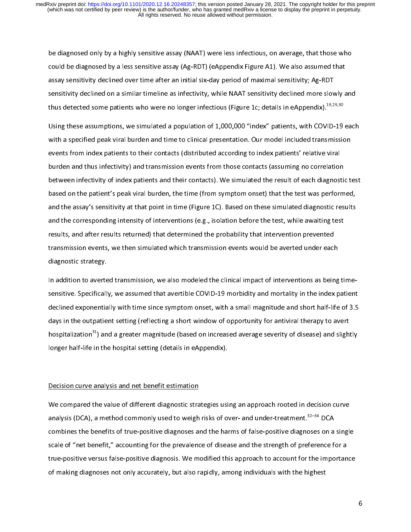be diagnosed by a less sensitive assay (Ag-RDT) (eAppendix Figure A1). We also assumed that<br>assay sensitivity declined over time after an initial six-day period of maximal sensitivity; Ag-RDT<br>sensitivity declined on a simi could be diagnosed by a less sensitivity declined over time after an initial six-day period of maximal sensitivity; Ag-RDT sensitivity declined on a similar timeline as infectivity, while NAAT sensitivity declined more slo

assay in the NAAT sensitivity declined over sensitivity declined over thus detected some patients who were no longer infectious (Figure 1c; details in eAppendix).<sup>19,2</sup><br>Using these assumptions, we simulated a population of shows detected some patients who were no longer infectious (Figure 1c; details in eAppendix).<sup>19,29,30</sup><br>Using these assumptions, we simulated a population of 1,000,000 "index" patients, with COVID-19 each<br>with a specified thus detected some patients who were no longer infectious (Figure 1c; details in eAppendix).<sup>19,29</sup>,30<br>Using these assumptions, we simulated a population of 1,000,000 "index" patients, with COVID-19<br>with a specified peak v Using these areas, produced a populations, of these populations. Our model included transmission<br>events from index patients to their contacts (distributed according to index patients' relative viral<br>burden and thus infecti which peak is peak viral burden and the contacts (distributed according to index patients' relative viral<br>burden and thus infectivity) and transmission events from those contacts (assuming no correlation<br>between infectivit burden and thus infectivity) and transmission events from those contacts (assuming no correlation<br>between infectivity of index patients and their contacts). We simulated the result of each diagnost<br>based on the patient's p between infectivity of index patients and their contacts). We simulated the result of each diagnostic<br>based on the patient's peak viral burden, the time (from symptom onset) that the test was perform<br>and the assay's sensit based on the patient's peak viral burden, the time (from symptom onset) that the test was performed, and the assay's sensitivity at that point in time (Figure 1C). Based on these simulated diagnostic results and the corres and the assay's sensitivity at that point in time (Figure 1C). Based on these simulated diagnostic results<br>and the corresponding intensity of interventions (e.g., isolation before the test, while awaiting test<br>results, and and the corresponding intensity of interventions (e.g., isolation before the test, while awaiting test<br>results, and after results returned) that determined the probability that intervention prevented<br>transmission events, w results, and after results returned) that determined the probability that intervention prevented<br>transmission events, we then simulated which transmission events would be averted under each<br>diagnostic strategy.<br>In addition

reansmission events, we then simulated which transmission events would be averted under each<br>diagnostic strategy.<br>In addition to averted transmission, we also modeled the clinical impact of interventions as bein<br>sensitive. diagnostic strategy.<br>In addition to averted transmission, we also modeled the clinical impact of interventions as being<br>sensitive. Specifically, we assumed that avertible COVID-19 morbidity and mortality in the index p<br>dec In addition to averte<br>sensitive. Specificall<br>declined exponentia<br>days in the outpatie<br>hospitalization<sup>31</sup>) an sensitive. Specifically, we assume interactionally covid-19 mortality, in the index patient<br>declined exponentially with time since symptom onset, with a small magnitude and short half-life of 3.5<br>days in the outpatient set days in the outpatient setting (reflecting a short window of opportunity for antiviral therapy to avert<br>hospitalization<sup>31</sup>) and a greater magnitude (based on increased average severity of disease) and slightly<br>longer half dealization<sup>31</sup>) and a greater magnitude (based on increased average severity of disease) and slight<br>longer half-life in the hospital setting (details in eAppendix).<br>Decision curve analysis and net benefit estimation. hospitalization"") and a greater magnitude (based on increased average severity of disease) and slightly<br>longer half-life in the hospital setting (details in eAppendix).<br>Decision curve analysis and net benefit estimation<br>W

Decision curve analysis and net benefit estimation<br>We compared the value of different diagnostic strategies usi<br>analysis (DCA), a method commonly used to weigh risks of or<br>combines the benefits of true-positive diagnoses a  $\frac{1}{6}$  )  $\frac{1}{6}$ Me compared the value of different diagnostic strandlysis (DCA), a method commonly used to weigh<br>combines the benefits of true-positive diagnoses and scale of "net benefit," accounting for the prevalence true-positive vers Mercian and the value of dimension and pair and para-pperture of the value of analysis (DCA), a method commonly used to weigh risks of over- and under-treatment.<sup>32–34</sup> DCA combines the benefits of true-positive diagnoses analysis (DCA), a method commonly used to weigh risks of over- and under-treatment.<sup>32</sup> SPCA<br>combines the benefits of true-positive diagnoses and the harms of false-positive diagnoses on a<br>scale of "net benefit," accountin scale of "net benefit," accounting for the prevalence of disease and the strength of preference for a<br>true-positive versus false-positive diagnosis. We modified this approach to account for the importance<br>of making diagnos scale true-positive versus false-positive diagnosis. We modified this approach to account for the importan<br>of making diagnoses not only accurately, but also rapidly, among individuals with the highest<br>discussed in the stre of making diagnoses not only accurately, but also rapidly, among individuals with the highest of making diagnoses not only accurately, but also rapidly, among individuals with the highest of making diagnoses not only accurately, but also rapidly, among individuals with the highest  $\sigma$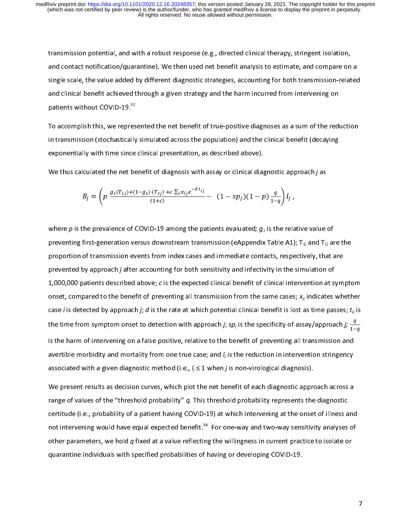transmission potential, and with a response potential therapy and contact notification/quarantine). We then used net benefit analysis to estimate, and compare on single scale, the value added by different diagnostic strate and clinical benefit achieved through a given strategies, accounting for both transmission-related<br>and clinical benefit achieved through a given strategy and the harm incurred from intervening on<br>patients without COVID-19.

single scales in the value and clinical benefit achieved through a given strategy and the harm incurred from intervening on<br>patients without COVID-19.<sup>32</sup><br>To accomplish this, we represented the net benefit of true-positive patients without COVID-19.<sup>32</sup><br>To accomplish this, we represented the net benefit of true-positive diagnoses as a sum of the red<br>in transmission (stochastically simulated across the population) and the clinical benefit (de patients without COVID-19.<sup>32</sup><br>To accomplish this, we repres<br>in transmission (stochastically<br>exponentially with time since<br>We thus calculated the net be in transmission (stochastically simulated across the population) and the clinical benefit (decaying<br>exponentially with time since clinical presentation, as described above).<br>We thus calculated the net benefit of diagnosis exponentially with time since clinical presentation, as described above).<br>We thus calculated the net benefit of diagnosis with assay or clinical diagnostic approach *j* as<br> $B_j = \left( p \frac{g_1(T_{1j}) + (1 - g_1)(T_{2j}) + c \sum_i x_{ij} e^{-d t_{ij}}}{$ 

We thus calculated the net benefit of diagnosis with assay or clinical diagnostic app  
\n
$$
B_j = \left( p \frac{g_1(r_{1j}) + (1 - g_1) (r_{2j}) + c \sum_i x_{ij} e^{-d t_{ij}}}{(1 + c)} - (1 - sp_j)(1 - p) \frac{q}{1 - q} \right) l_j,
$$
\nwhere *p* is the prevalence of COVID-19 among the patients evaluated; *g\_1* is the rela

 $B_j = \left( p \frac{g_1(T_{1j}) + (1 - g_1)(T_{2j}) + c \sum_i x_{ij}e^{-d t_{ij}}}{(1 + c)} - (1 - sp_j)(1 - p) \frac{q}{1 - q} \right) l_j$ ,<br>where p is the prevalence of COVID-19 among the patients evaluated;  $g_1$  is the relative value of<br>preventing first-generation versus downs  $\frac{1}{1-q}$   $\int_{1}^{1} f$  ,<br>i the rela<br>able A1)<br>ts, respe<br>y in the : ハト ドー・ペー preventing first-generation versus downstream transmission (eAppendix Table A1);  $T_{1j}$  and  $T_{2j}$  are proportion of transmission events from index cases and immediate contacts, respectively, that are prevented by appro preventing first-generation versus from index cases and immediate contacts, respectively, that are<br>prevented by approach *j* after accounting for both sensitivity and infectivity in the simulation of<br>1,000,000 patients de prevented by approach *j* after accounting for both sensitivity and infectivity in the simulation of<br>1,000,000 patients described above; *c* is the expected clinical benefit of clinical intervention at sym<br>onset, compared 1,000,000 patients described above; c is the expected clinical benefit of clinical intervention at sonset, compared to the benefit of preventing all transmission from the same cases;  $x_{ij}$  indicates case *i* is detected 1,000,000 patients described above; c is the expected clinical benefit of clinical intervention at symptom<br>onset, compared to the benefit of preventing all transmission from the same cases;  $x_{ij}$  indicates whether<br>case case *i* is detected by approach *j*; *d* is the rate at which potential clinical benefit is lost as time passes;  $t_{ij}$  is the time from symptom onset to detection with approach *j*;  $sp_j$  is the specificity of assay/appr the time from symptom onset to detection with approach *j; sp<sub>j</sub>* is the specificity of assay/approach *j;*  $\frac{q}{1-q}$  is the time from symptom onset to detection with approach *j; sp<sub>j</sub>* is the specificity of assay/appro the time from symptom onset to detection with approach *j*; *sp<sub>j</sub>* is the specificity of assay/approach *j;*  $\frac{q}{1-}$ <br>is the harm of intervening on a false positive, relative to the benefit of preventing all transmissi  $1-q$ <br>d<br>y<br>a

avertible morbidity and mortality from one true case; and  $l_j$  is the reduction in intervention stringency<br>associated with a given diagnostic method (i.e.,  $l_j \le 1$  when *j* is non-virological diagnosis).<br>We present resul associated with a given diagnostic method (i.e.,  $l_j \le 1$  when *j* is non-virological diagnosis).<br>We present results as decision curves, which plot the net benefit of each diagnostic approach across a<br>range of values of t associated with a given diagnostic method (i.e.,  $\eta \le 1$  when  $\eta$  is non-virological diagnostic approximate the expected section curves, which plot the net benefit of each diagnostic approximate of values of the "thresh range of values of the "threshold probability"  $q$ . This threshold probability represents the diagnostic<br>certitude (i.e., probability of a patient having COVID-19) at which intervening at the onset of illness and<br>not inte range of values of the "threshold probability" q. This threshold probability represents the diagnostic<br>certitude (i.e., probability of a patient having COVID-19) at which intervening at the onset of illness a<br>not interveni not intervening would have equal expected benefit.<sup>34</sup> For one-way and two-way sensitivity analyses of other parameters, we hold  $q$  fixed at a value reflecting the willingness in current practice to isolate or quarantine not intervening would have equal expected benefit.<sup>34</sup> For one-way and two-way sensitivity analyses of<br>other parameters, we hold *q* fixed at a value reflecting the willingness in current practice to isolate or<br>quarantine other parameters, we hold q fixed at a value reflecting the willingness in current practice to isolate or<br>quarantine individuals with specified probabilities of having or developing COVID-19. quarantine individuals with specified probabilities of having or developing COVID-19.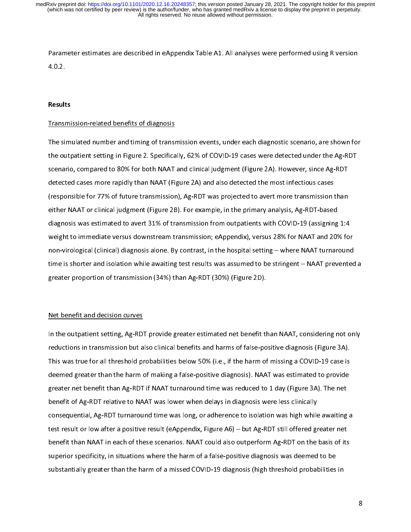Parameter estimates are described in eappendix table A1. All analyses were performed using R version<br>4.0.2.<br>Transmission-related benefits of diagnosis

### Results

**Result**<br>Transr<br>The sil The simulated number and timing of transr<br>the outpatient setting in Figure 2. Specifica<br>scenario, compared to 80% for both NAAT<br>detected cases more rapidly than NAAT (Fig<br>(responsible for 77% of future transmission The outpatient setting in Figure 2. Specifically, 62% of COVID-19 cases were detected under the Ag-RDT<br>scenario, compared to 80% for both NAAT and clinical judgment (Figure 2A). However, since Ag-RDT<br>detected cases more ra scenario, compared to 80% for both NAAT and clinical judgment (Figure 2A). However, since Ag-RDT<br>detected cases more rapidly than NAAT (Figure 2A) and also detected the most infectious cases<br>(responsible for 77% of future detected cases more rapidly than NAAT (Figure 2A) and also detected the most infectious cases<br>(responsible for 77% of future transmission), Ag-RDT was projected to avert more transmission than<br>either NAAT or clinical judgm (responsible for 77% of future transmission), Ag-RDT was projected to avert more transmission t<br>either NAAT or clinical judgment (Figure 2B). For example, in the primary analysis, Ag-RDT-based<br>diagnosis was estimated to av (responsible for 77% of future transmission),  $\sigma$  for  $\sigma$  and projected to avert and subsets. Ag-RDT-based<br>diagnosis was estimated to avert 31% of transmission from outpatients with COVID-19 (assigning 1:4<br>weight to imme diagnosis was estimated to avert 31% of transmission from outpatients with COVID-19 (assigning<br>weight to immediate versus downstream transmission; eAppendix), versus 28% for NAAT and 209<br>non-virological (clinical) diagnosi diagnosis weight to immediate versus downstream transmission; eAppendix), versus 28% for NAAT and 20% for<br>non-virological (clinical) diagnosis alone. By contrast, in the hospital setting – where NAAT turnaround<br>time is sho weight to immediate versus downstream transmission, experience, weight and an anti-correlation<br>non-virological (clinical) diagnosis alone. By contrast, in the hospital setting – where NAAT turnaround<br>time is shorter and is time is shorter and isolation while awaiting test results was assumed to be stringent – NAAT prevented<br>greater proportion of transmission (34%) than Ag-RDT (30%) (Figure 2D).<br>Net benefit and decision curves

the is shorter and isolation while and ingeles results was assuming to be stringent – NAAT proteined a<br>greater proportion of transmission (34%) than Ag-RDT (30%) (Figure 2D).<br>Net benefit and decision curves<br>In the outpatie Net benefit and decision curves<br>
In the outpatient setting, Ag-RDT provide greater estimated net benefit the<br>
reductions in transmission but also clinical benefits and harms of false-po<br>
This was true for all threshold pro |<br>|<br>|<br>| In the outpatient setting, Ag-RD<br>reductions in transmission but a<br>This was true for all threshold pr<br>deemed greater than the harm of<br>greater net benefit than Ag-RDT In the outpatient setting, Ag-RDT provide greater estimates from that than than, y considering for outputions<br>
This was true for all threshold probabilities below 50% (i.e., if the harm of missing a COVID-19 case is<br>
deeme This was true for all threshold probabilities below 50% (i.e., if the harm of missing a COVID-19 case is<br>deemed greater than the harm of making a false-positive diagnosis). NAAT was estimated to provide<br>greater net benefit deemed greater than the harm of making a false-positive diagnosis). NAAT was estimated to provide<br>greater net benefit than Ag-RDT if NAAT turnaround time was reduced to 1 day (Figure 3A). The net<br>benefit of Ag-RDT relative greater net benefit than Ag-RDT if NAAT turnaround time was reduced to 1 day (Figure 3A). The net<br>benefit of Ag-RDT relative to NAAT was lower when delays in diagnosis were less clinically<br>consequential, Ag-RDT turnaround greater net benefit of Ag-RDT relative to NAAT was lower when delays in diagnosis were less clinically<br>consequential, Ag-RDT turnaround time was long, or adherence to isolation was high while awaiting<br>test result or low af benefit of Ag-RDT turnaround time was long, or adherence to isolation was high while<br>test result or low after a positive result (eAppendix, Figure A6) – but Ag-RDT still offered gr<br>benefit than NAAT in each of these scenar test result or low after a positive result (eAppendix, Figure A6) – but Ag-RDT still offered greater net<br>benefit than NAAT in each of these scenarios. NAAT could also outperform Ag-RDT on the basis of its<br>superior specific benefit than NAAT in each of these scenarios. NAAT could also outperform Ag-RDT on the basis of its<br>superior specificity, in situations where the harm of a false-positive diagnosis was deemed to be<br>substantially greater th superior specificity, in situations where the harm of a false-positive diagnosis was deemed to be<br>substantially greater than the harm of a missed COVID-19 diagnosis (high threshold probabilities in<br>substantially greater th substantially greater than the harm of a missed COVID-19 diagnosis (high threshold probabilities<br>substantially greater than the harm of a missed COVID-19 diagnosis (high threshold probabilities substantially greater than the harm of a missed Covid-19 diagnosis (high threshold probabilities in<br>greater threshold probabilities in the harm of a missed covid-19 diagnosis in the harm of probabilities in the<br>covid-19 di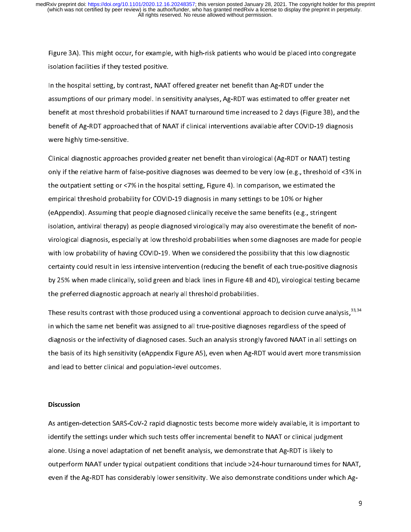Figure 3A). This might occur, for example, maninghed into parameters who would procedure 30.500<br>In the hospital setting, by contrast, NAAT offered greater net benefit than Ag-RDT under the<br>assumptions of our primary model. In the hospital setting, by contrast, NAAT<br>assumptions of our primary model. In ser<br>benefit at most threshold probabilities if<br>benefit of Ag-RDT approached that of NA<br>were highly time-sensitive. In the setting assumptions of our primary model. In sensitivity analyses, Ag-RDT was estimated to offer greater<br>
benefit at most threshold probabilities if NAAT turnaround time increased to 2 days (Figure 3<br>
benefit of Agbenefit at most threshold probabilities if NAAT turnaround time increased to 2 days (Figure 3B), and t<br>benefit of Ag-RDT approached that of NAAT if clinical interventions available after COVID-19 diagnosis<br>were highly time

benefit of Ag-RDT approached that of NAAT if clinical interventions available after COVID-19 diagnosis<br>were highly time-sensitive.<br>Clinical diagnostic approaches provided greater net benefit than virological (Ag-RDT or NAA benefit of Ag-RDT and States interventions and the NAAT interventions and the NAAT interventions were highly time-sensitive.<br>Clinical diagnostic approaches provided greater net benefit than virological (Ag-RDT or NAAT) tes Clinical diagnostic approach<br>only if the relative harm of the<br>the outpatient setting or <7<br>empirical threshold probabi<br>(eAppendix). Assuming that Clinical diagnostic approaches was deemed to be very low (e.g., threshold of <39<br>the outpatient setting or <7% in the hospital setting, Figure 4). In comparison, we estimated the<br>empirical threshold probability for COVID-1 only in the outpatient setting or <7% in the hospital setting, Figure 4). In comparison, we estimated the<br>empirical threshold probability for COVID-19 diagnosis in many settings to be 10% or higher<br>(eAppendix). Assuming th the outpatient setting or the mail suppatient setting, Figure 4). In the hospital setting to the perpendix (e<br>Appendix). Assuming that people diagnosed clinically receive the same benefits (e.g., stringent<br>isolation, antiv empirical in entrin presenting to 1990s and probability receive the same benefits (e.g., strin<br>isolation, antiviral therapy) as people diagnosed virologically may also overestimate the ben-<br>virological diagnosis, especiall (education, antiviral therapy) as people diagnosed virologically may also overestimate the benefit of virological diagnosis, especially at low threshold probabilities when some diagnoses are made for with low probability o with low probability of having COVID-19. When we considered the possibility that this low diagnostic<br>certainty could result in less intensive intervention (reducing the benefit of each true-positive diagnosis<br>by 25% when m Exertainty could result in less intensive intervention (reducing the benefit of each true-positive diagnos<br>by 25% when made clinically, solid green and black lines in Figure 4B and 4D), virological testing becan<br>the prefer

isolation, antiviral therapy) as people diagnosed virologically may also overestimate the benefit of nonby 25% when made clinically, solid green and black lines in Figure 4B and 4D), virological testing became<br>the preferred diagnostic approach at nearly all threshold probabilities.<br>These results contrast with those produced by 25% when made clinically, solid green and black lines in Figure 4B and 4B and 4D, when green tends of the<br>the preferred diagnostic approach at nearly all threshold probabilities.<br>These results contrast with those produc These results contrast with those produced using a conventional appro<br>in which the same net benefit was assigned to all true-positive diagnos<br>diagnosis or the infectivity of diagnosed cases. Such an analysis strongli<br>the b These results contrast with those produced using a conventional approach to decision curve analysis,<sup>33,33</sup><br>in which the same net benefit was assigned to all true-positive diagnoses regardless of the speed of<br>diagnosis or diagnosis or the infectivity of diagnosed cases. Such an analysis strongly favored NAAT in all settings<br>the basis of its high sensitivity (eAppendix Figure A5), even when Ag-RDT would avert more transmis<br>and lead to better diagnosis or the infection of the infective cases. The basis of its high sensitivity (eAppendix Figure A5), even when Ag-RDT would avert more transmission<br>and lead to better clinical and population-level outcomes.<br>Discussi

### **Discussion**

the basis of its high sensitivity, (experimently figure and more transmission), and lead to better clinical and population-level outcomes.<br>Discussion<br>As antigen-detection SARS-CoV-2 rapid diagnostic tests become more widel and lead to better clinical and population.<br>
As antigen-detection SARS-CoV-2 rapid diagnostic tests better increment<br>
identify the settings under which such tests offer increment<br>
alone. Using a novel adaptation of net ben As antigen-detection start of the settings under which such tests offer incremental benefit to NAAT or clinical judgment<br>alone. Using a novel adaptation of net benefit analysis, we demonstrate that Ag-RDT is likely to<br>outp identify the settings under the settings under the setting under the such tests outperform NAAT under typical outpatient conditions that include >24-hour turnaround times for N<br>even if the Ag-RDT has considerably lower sen outperform NAAT under typical outpatient conditions that include >24-hour turnaround times f<br>even if the Ag-RDT has considerably lower sensitivity. We also demonstrate conditions under wl<br>to demonstrate that Ag-RDT is like outperform NAAT under typical outpatient conditions that include 24-hour turns and the NAAT, where<br>even if the Ag-RDT has considerably lower sensitivity. We also demonstrate conditions under which Ag-<br>9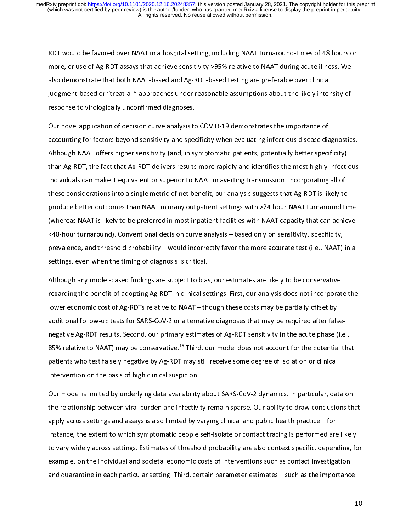RDT WE AT A HOME TO FAND THE FALL CONDIGATION CONTROLLED IN A homeone, or use of Ag-RDT assays that achieve sensitivity >95% relative to NAAT during acute illness. We also demonstrate that both NAAT-based and Ag-RDT-based more, or use of Ag-RDT and Ag-RDT based testing are preferable over clinical<br>judgment-based or "treat-all" approaches under reasonable assumptions about the likely intensity of<br>response to virologically unconfirmed diagnos

judgment-based or "treat-all" approaches under reasonable assumptions about the likely inten<br>response to virologically unconfirmed diagnoses.<br>Our novel application of decision curve analysis to COVID-19 demonstrates the im jude or "treat-all" approaches to virologically unconfirmed diagnoses.<br>The movel application of decision curve analysis to COVID-19 demonstrates the importance of<br>accounting for factors beyond sensitivity and specificity w Cur novel application of decision curve analysis to<br>accounting for factors beyond sensitivity and spee<br>Although NAAT offers higher sensitivity (and, in sy<br>than Ag-RDT, the fact that Ag-RDT delivers results<br>individuals can accounting for factors beyond sensitivity and specificity when evaluating infectious disease dia<br>Although NAAT offers higher sensitivity (and, in symptomatic patients, potentially better speci<br>than Ag-RDT, the fact that Ag actionary and sensitivity (and, in symptomatic patients, potential velocities angles and although NAAT offers higher sensitivity (and, in symptomatic patients, potentially better specificity)<br>than Ag-RDT, the fact that Ag-The Although Although School (And Arthough School (And Ag-RDT) delivers results more rapidly and identifies the most highly infectional individuals can make it equivalent or superior to NAAT in averting transmission. Incor individuals can make it equivalent or superior to NAAT in averting transmission. Incorporating all of<br>these considerations into a single metric of net benefit, our analysis suggests that Ag-RDT is likely to<br>produce better individuals can make it equivalent or superior or superior in an anti-sing matematic proting an or<br>these considerations into a single metric of net benefit, our analysis suggests that Ag-RDT is likely to<br>produce better out produce better outcomes than NAAT in many outpatient settings with >24 hour NAAT turnaround tir<br>(whereas NAAT is likely to be preferred in most inpatient facilities with NAAT capacity that can achier<br><48-hour turnaround). (whereas NAAT is likely to be preferred in most inpatient facilities with NAAT capacity that can achieve<br>
<48-hour turnaround). Conventional decision curve analysis – based only on sensitivity, specificity,<br>
prevalence, an (MAT EM TRANT INTERT) TO BE preferred in most inpatient facilities in most inpatity, specificity,<br>
spevalence, and threshold probability – would incorrectly favor the more accurate test (i.e., NAAT) in al<br>
settings, even w

prevalence, and threshold probability – would incorrectly favor the more accurate test (i.e., NAAT)<br>settings, even when the timing of diagnosis is critical.<br>Although any model-based findings are subject to bias, our estima prettings, even when the timing of diagnosis is critical.<br>Although any model-based findings are subject to bias, our estimates are likely to be conservative<br>regarding the benefit of adopting Ag-RDT in clinical settings. Fi Although any model-based findings are subject to bias<br>regarding the benefit of adopting Ag-RDT in clinical se<br>lower economic cost of Ag-RDTs relative to NAAT – th<br>additional follow-up tests for SARS-CoV-2 or alternativ<br>neg Although the benefit of adopting Ag-RDT in clinical settings. First, our analysis does not incorporat<br>lower economic cost of Ag-RDTs relative to NAAT – though these costs may be partially offset by<br>additional follow-up tes regarding the benefit of ad-RDTs relative to NAAT – though these costs may be partially offset by<br>lower economic cost of Ag-RDTs relative to NAAT – though these costs may be partially offset by<br>additional follow-up tests f additional follow-up tests for SARS-CoV-2 or alternative diagnoses that may be required after fals<br>negative Ag-RDT results. Second, our primary estimates of Ag-RDT sensitivity in the acute phase (<br>85% relative to NAAT) may negative Co NAAT) may be conservative.<sup>19</sup> Third, our model does not account for the potential than patients who test falsely negative by Ag-RDT may still receive some degree of isolation or clinical intervention on the ba

the relationship between viral burden and infectivity remain sparse. Our ability to draw conclusions that 85% relative to NAAT) may be conservative.<sup>35</sup> Third, our model does not account for the potential that patients who test falsely negative by Ag-RDT may still receive some degree of isolation or clinical intervention on th patient wention on the basis of high clinical suspicion.<br>
Our model is limited by underlying data availability about SARS-CoV-2 dynamics. In particular, dat<br>
the relationship between viral burden and infectivity remain spa Intervention on the basis of high clinical supplemental<br>Our model is limited by underlying data availability<br>the relationship between viral burden and infectivi<br>apply across settings and assays is also limited by v<br>instanc The relationship between viral burden and infectivity remain sparse. Our ability to draw conclusions the relationship between viral burden and infectivity remain sparse. Our ability to draw conclusions the apply across set the relationship between viral burden burden and inference viral burden burden inference and apply across settings and assays is also limited by varying clinical and public health practice – for instance, the extent to whi instance, the extent to which symptomatic people self-isolate or contact tracing is performed are<br>to vary widely across settings. Estimates of threshold probability are also context specific, depen-<br>example, on the individ instance, the example, on the individual and societal economic costs of interventions such as contact investigation<br>and quarantine in each particular setting. Third, certain parameter estimates – such as the importance<br>and to vary widely across settings. Estimates of intervals probability are also contact probability, depending, for<br>example, on the individual and societal economic costs of interventions such as contact investigation<br>and quar and quarantine in each particular setting. Third, certain parameter estimates – such as the importance and quarantine in each particular setting. Third, certain parameter estimates – such as the importance and quarantine in each particular setting. Third, certain parameter estimates – such as the importance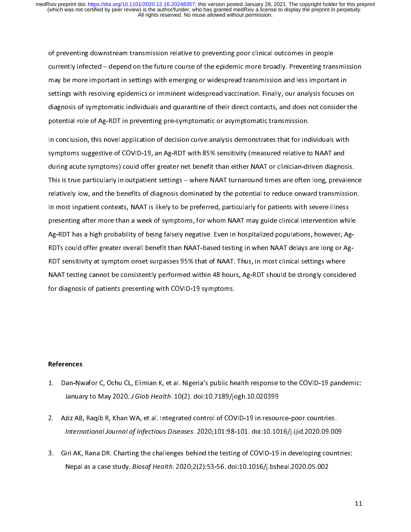of preventing a sinute statement transmission relative to preventing poor clinical or preventing transmission and less important and the merging or widespread transmission and less important settings with resolving epidemi currently infected integration in entitled on the epidemic more preventing in intuition<br>may be more important in settings with emerging or widespread transmission and less important in<br>settings with resolving epidemics or may bettings with resolving epidemics or imminent widespread vaccination. Finally, our analysis focuses or<br>diagnosis of symptomatic individuals and quarantine of their direct contacts, and does not consider to<br>potential ro

diagnosis of symptomatic individuals and quarantine of their direct contacts, and does not consider the<br>potential role of Ag-RDT in preventing pre-symptomatic or asymptomatic transmission.<br>In conclusion, this novel applica diagnosis of a symptomatic individuals and quarantine of their direct contacts, and does not potential role of Ag-RDT in preventing pre-symptomatic or asymptomatic transmission.<br>In conclusion, this novel application of dec In conclusion, this novel application of decision curve analysis demonstrates that for ind<br>symptoms suggestive of COVID-19, an Ag-RDT with 85% sensitivity (measured relative to<br>during acute symptoms) could offer greater ne In conclusion, the last represent of decision of decision, symptoms suggestive of COVID-19, an Ag-RDT with 85% sensitivity (measured relative to NAAT and<br>during acute symptoms) could offer greater net benefit than either N symptoms and offer greater net benefit than either NAAT or clinician-driven diagnost<br>This is true particularly in outpatient settings – where NAAT turnaround times are often long, preva<br>relatively low, and the benefits of This is true particularly in outpatient settings – where NAAT turnaround times are often long, prevalent<br>relatively low, and the benefits of diagnosis dominated by the potential to reduce onward transmission<br>In most inpati This is true parametering in the particularly in the true in a true and true of the protection of the perfection<br>This most inpatient contexts, NAAT is likely to be preferred, particularly for patients with severe illness<br>p In most inpatient contexts, NAAT is likely to be preferred, particularly for patients with severe illness<br>presenting after more than a week of symptoms, for whom NAAT may guide clinical intervention while<br>Ag-RDT has a high In most inpatition content content context in particularly for parameters, parameters in most presenting after more than a week of symptoms, for whom NAAT may guide clinical intervention white<br>Ag-RDT has a high probability Ag-RDT has a high probability of being falsely negative. Even in hospitalized populations, however, Ag-RDTs could offer greater overall benefit than NAAT-based testing in when NAAT delays are long or Ag-RDT sensitivity at RAAT testing cannot be consistently performed within 48 hours, Ag-RDT should be strongly consider<br>for diagnosis of patients presenting with COVID-19 symptoms. NAAT TESTING CANNOTED CANNOTED CONSISTENT CONSIDERED WITH A REVENUES WITHOUT SHOW SHOW SHOW SHOW SHOW SHOW SHOWS AND THE STRONGLY CONSIDERED WITH A REVENUES OF PARTICIPATION SYMPTOMS. for angles of patients presenting with COVID-19 symptoms.<br>References

## References

- 
- 1. Danuary to May 2020. J Glob Health. 10(2). doi:10.7189/jogh.10.020399<br>2. Aziz AB, Raqib R, Khan WA, et al. Integrated control of COVID-19 in resource-poor countries.<br>1. International Journal of Infectious Diseases. 2020
- Sanuary to May 2020. J Glob Health. 10(2). doi:10.71897Jogh.10.020399<br>Ziz AB, Raqib R, Khan WA, et al. Integrated control of COVID-19 in resour<br>International Journal of Infectious Diseases. 2020;101:98-101. doi:10.10<br>Iri A 2. Analysis, manying a manipulation of the control of the Covid-198-101. doi:10.1016/j.ijid.2020.09.00<br>3. Giri AK, Rana DR. Charting the challenges behind the testing of COVID-19 in developing count<br>Nepal as a case study. Iri AK, Rana DR. Charting the challenges behind the testing of COVID-19 in developing countri<br>Iri AK, Rana DR. Charting the challenges behind the testing of COVID-19 in developing countri<br>Nepal as a case study. *Biosaf Hea* Nepal as a case study. *Biosaf Health.* 2020;2(2):53-56. doi:10.1016/j.bsheal.2020.05.002  $Nepa1 as a case study. *Diosaj Heairti*. 2020,2(2).53-56. [doi:10.1010/j.bsnlea.2020.05.002](https://doi.org/10.1010/j.bsnlea.2020.05.002)$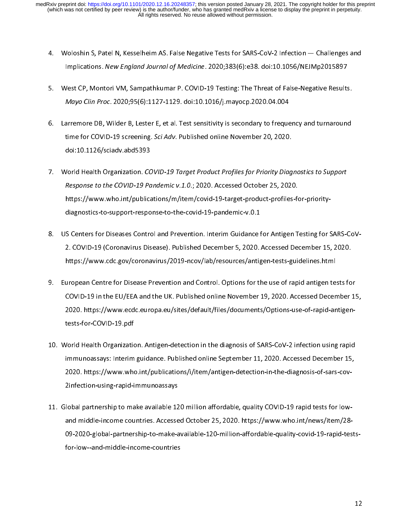- 
- 4. Implications. New England Journal of Medicine. 2020;383(6):e38. doi:10.1056/NEJMp2015897<br>
5. West CP, Montori VM, Sampathkumar P. COVID-19 Testing: The Threat of False-Negative Results.<br> *Mayo Clin Proc.* 2020;95(6):112
- Implications. New England Journal of Medicine. 2020,383(6):e38. doi:10.1036/NEJMp2013897<br>Vest CP, Montori VM, Sampathkumar P. COVID-19 Testing: The Threat of False-Negative Results<br>Mayo Clin Proc. 2020;95(6):1127-1129. doi Mayo Clin Proc. 2020;95(6):1127-1129. doi:10.1016/j.mayocp.2020.04.004<br>
6. Larremore DB, Wilder B, Lester E, et al. Test sensitivity is secondary to frequency and turnaround<br>
time for COVID-19 screening. Sci Adv. Published Mayo Clin Proc. 2020;95(6):1127-1129. doi:10.10107]. Mayocp.2020.04.004<br>arremore DB, Wilder B, Lester E, et al. Test sensitivity is secondary to freque<br>time for COVID-19 screening. Sci Adv. Published online November 20, 20
- 1. Larremore D., Emmanus, Larremore, D. Larremore, D. Larremore, D. 2020.<br>
1. Colo:10.1126/sciadv.abd5393<br>
1. World Health Organization. COVID-19 Target Product Profiles for Priority Diagnostics to Support<br>
Response to the time for COVID-19 screening. Servaty. Published online November 20, 2020.<br>
doi:10.1126/sciadv.abd5393<br>
Vorld Health Organization. *COVID-19 Target Product Profiles for Priority Diag*<br>
Response to the COVID-19 Pandemic v.1. Vorld Health Organization. *CC*<br>Response to the COVID-19 Pa<br>https://www.who.int/publica<br>diagnostics-to-support-respo<br>S Centers for Diseases Contro 7. World Health Organization. COVID-19 Pandemic v.1.0.; 2020. Accessed October 25, 2020.<br>
Response to the COVID-19 Pandemic v.1.0.; 2020. Accessed October 25, 2020.<br>
https://www.who.int/publications/m/item/covid-19-target-
- Response to the COVID-19 Pandemic v.1.0.; 2020. Accessed October 25, 2020.<br>Response to the COVID-19 Pandemic v.1.0.; 2020. Accessed October 25, 2020.<br>Response to -support-response-to-the-covid-19-pandemic-v.0.1<br>S Centers f diagnostics-to-support-response-to-the-corresponse-to-the-corresponse-to-the-covid-19-pandemic-to-the-covid-2.<br>2. COVID-19 (Coronavirus Disease). Published December 5, 2020.<br>https://www.cdc.gov/coronavirus/2019-ncov/lab/re
- 9. European Centre for Disease Prevention and Control. Options for the use of rapid antigen tests for 2020. https://www.ecdc.europa.eu/sites/default/files/documents/Options-use-of-rapid-antigen-2. https://www.cdc.gov/coronavirus/2019-ncov/lab/resources/antigen-tests-guidelines.html<br>uropean Centre for Disease Prevention and Control. Options for the use of rapid antigen tests fo<br>COVID-19 in the EU/EEA and the UK. P https://www.coronavirus-government.percenter.percenter.percenter.percenter.percenter.percenter.<br>https://www.ecdc.europa.eu/sites/default/files/documents/Options-use-of-rapid-antests-for-COVID-19.pdf<br>dests-for-COVID-19.pdf 9. European Centre For Distribution and Control. Prevention are accompaned to COVID-19 in the EU/EEA and the UK. Published online November 19, 2020. Accessed December 19, 2020. https://www.ecdc.europa.eu/sites/default/file
- CO20. https://www.ecdc.europa.eu/sites/default/files/documents/Options-use-of-rapid-antigentests-for-COVID-19.pdf<br>Korld Health Organization. Antigen-detection in the diagnosis of SARS-CoV-2 infection using rapid<br>immunoassa 2002. https://www.economia.europa.europa.europa.europa.europa.europa.europa.europa.europa.europa.eu Vorld Health Organization<br>immunoassays: Interim<br>2020. https://www.who<br>2infection-using-rapid-i<br>lobal partnershin to ma 11. World Health Organization. And Substitute Manuson in the diagnosis of Sars-Cov-2<br>1020. https://www.who.int/publications/i/item/antigen-detection-in-the-diagnosis-of-sars-cov-<br>2 infection-using-rapid-immunoassays<br>11. Gl
- immunoassays: Interim the-diagnosis-of-sars-cov-<br>2infection-using-rapid-immunoassays<br>Iobal partnership to make available 120 million affordable, quality COVID-19 rapid tests for low-<br>Iobal partnership to make available 120 2020. https://www.who.int/publications/in-the-diagnosis-of-sars-cov-sars-cov-sars-cov-sars-cov-sars-cov-sars-cov-2012 - American and proper annumease, perfection-<br>2<br>2 and middle-income countries. Accesse<br>29-2020-global-partnership-to-make-a<br>2<br>for-low--and-middle-income-countries and make-available-120-million-affordable-quality-covid-19-rapid-tes<br>for-low--and-middle-income-countries.<br>Mortowneys/item/2020. https://www.who.int/news/item/2020.html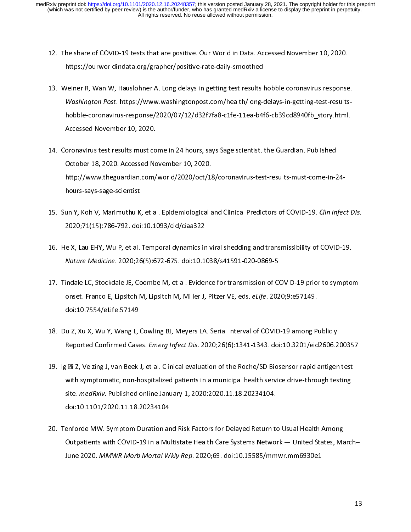- 
- 12. The share of Courworld indiata.org/grapher/positive-rate-daily-smoothed<br>13. Weiner R, Wan W, Hauslohner A. Long delays in getting test results hobble coronavirus response<br>13. Weiner R, Wan W, Hauslohner A. Long delays Meiner R, Wan W, Hauslohner A. Long delays in getting test results I<br>Washington Post. https://www.washingtonpost.com/health/long-<br>hobble-coronavirus-response/2020/07/12/d32f7fa8-c1fe-11ea-b4f<br>Accessed November 10, 2020. Washington Post. https://www.washingtonpost.com/health/long-delays-in-getting-test-results-<br>hobble-coronavirus-response/2020/07/12/d32f7fa8-c1fe-11ea-b4f6-cb39cd8940fb\_story.html.<br>Accessed November 10, 2020.<br>14. Coronaviru
- Washington Post. https://www.washingtonpost.com/health/long-delays-in-getting-test-results-<br>hobble-coronavirus-response/2020/07/12/d32f7fa8-c1fe-11ea-b4f6-cb39cd8940fb\_story.html.<br>Accessed November 10, 2020.<br>oronavirus tes hoodsel November 10, 2020.<br>Accessed November 10, 2020.<br>oronavirus test results must come in 24 hours, says Sage scientist. the Guardian. Published<br>October 18, 2020. Accessed November 10, 2020.<br>http://www.theguardian.com/wo oronavirus test results must co<br>October 18, 2020. Accessed No<br>http://www.theguardian.com/<br>hours-says-sage-scientist<br>un X. Kob V. Marimuthu K. et al 14. Coronavirus test-results-must-come-in-2<br>14. Coronavirus test results must-come-in-2<br>14. Coronavirus test results must-come-in-2<br>14. Sun Y, Koh V, Marimuthu K, et al. Epidemiological and Clinical Predictors of COVID-19. http://www.theguardian.com/world/2020/oct/18<br>hours-says-sage-scientist<br>un Y, Koh V, Marimuthu K, et al. Epidemiological a<br>2020;71(15):786-792. doi:10.1093/cid/ciaa322<br>e X, Lau EHY, Wu P, et al. Temporal dynamics in Y
- hours-says-sage-scientist<br>hours-says-sage-scientist<br>un Y, Koh V, Marimuthu K, et al. Epidemiological and Clinical Predictors of COVID-19. Clin Infec<br>2020;71(15):786-792. doi:10.1093/cid/ciaa322<br>e X, Lau EHY, Wu P, et al. T mover of the Unit<br>1988 v. Marimuthu K.<br>2020;71(15):786-792. doi<br>1988 e X, Lau EHY, Wu P, et al.<br>Nature Medicine. 2020;26
- 15. Sun Y, Koh V, Mahmudhu K, et al. Epidemiological and Clinical Predictors of COVID-15. Clin Infect Dis.<br>
2020;71(15):786-792. doi:10.1093/cid/ciaa322<br>
16. He X, Lau EHY, Wu P, et al. Temporal dynamics in viral shedding
- 2020;2020;2020;2020;2020;2020;202. doi:10.11<br>2020;2020;2020;2020;2020;203. doi:10.11<br>203. doi:10.11<br>203. doi:10. 7554/el.ife. 57149 Nature Medicine. 2020;26(5):672-675. doi:10.1038/s41591-020-0869-5<br>17. Tindale LC, Stockdale JE, Coombe M, et al. Evidence for transmission of COVID-19 prior to sympto<br>18. Du 7. Yu Y. Wu Y. Wang L. Cowling BL Mevers LA. Se Nature Medicine. 2020,20(5):672-675. doi:10.1036/s41551-020-0865-5<br>
indale LC, Stockdale JE, Coombe M, et al. Evidence for transmission of Coonset. Franco E, Lipsitch M, Lipsitch M, Miller J, Pitzer VE, eds. *eLife*. 202<br> 18. Du Z, Xu X, Wu Y, Wang L, Cowling BJ, Meyers LA. Serial Interval of COVID-19 among Publicly<br>18. Du Z, Xu X, Wu Y, Wang L, Cowling BJ, Meyers LA. Serial Interval of COVID-19 among Publicly<br>18. Du Z, Xu X, Wu Y, Wang L,
- onset. Franco E, Erpsitch M, Erpsitch M, Miller J, Pitzer VE, eds. eLife. 2020,9:e57149.<br>doi:10.7554/eLife.57149<br>u Z, Xu X, Wu Y, Wang L, Cowling BJ, Meyers LA. Serial Interval of COVID-19 among P<br>Reported Confirmed Cases.
- u Z, Xu X, Wu Y, Wang L,<br>Reported Confirmed Case<br>Illai Z, Velzing J, van Beek<br>with symptomatic, non-h 18. Du Z, Marry Marty Marty 2, 2018, 2020, 2020, 2018. 1341-1343. doi:10.3201/eid2606.2<br>
19. Igl $\mathbb{R}$  Z, Velzing J, van Beek J, et al. Clinical evaluation of the Roche/SD Biosensor rapid antigen<br>
with symptomatic, non-h Reported Committed Cases. Emerg Infect Dis. 2020;20(0):1341-1343. doi:10.3201/eid2000.200357<br>|Illi Z, Velzing J, van Beek J, et al. Clinical evaluation of the Roche/SD Biosensor rapid antigen test<br>with symptomatic, non-hos 19. Iglacy in the symptomatic, non-hospitalized patients in a municipal health service drive-through testing<br>19. Iglacy 20. Iglacy 20. Published online January 1, 2020:2020.11.18.20234104.<br>19. Iglacy 20. Tenforde MW. Sympt
- site. *medRxiv.* Published online January 1, 2020:2020.11.18.20234104.<br>doi:10.1101/2020.11.18.20234104<br>enforde MW. Symptom Duration and Risk Factors for Delayed Return to Usual Health Among<br>Outpatients with COVID-19 in a M site. *medhary.* Pablished online January 1, 2020.2020.11.18.20234104.<br>doi:10.1101/2020.11.18.20234104<br>enforde MW. Symptom Duration and Risk Factors for Delayed Return to<br>Outpatients with COVID-19 in a Multistate Health Ca enforde MW. Symptom Duration ar<br>Outpatients with COVID-19 in a Mu<br>June 2020. *MMWR Morb Mortal W* 20. Outpatients with COVID-19 in a Multistate Health Care Systems Network — United States, Ma<br>June 2020. *MMWR Morb Mortal Wkly Rep.* 2020;69. doi:10.15585/mmwr.mm6930e1<br>June 2020. MMWR Morb Mortal Wkly Rep. 2020;69. doi:1 Outpatients with COVID-19 in a Multistate Health Care System Medical — United States, March<br>June 2020. *MMWR Morb Mortal Wkly Rep.* 2020;69. doi:10.15585/mmwr.mm6930e1<br>1: June 2020. MMWR Morb Mortal Wkly Rep. 2020;69. doi:10.15585/mmwr.mm6930e1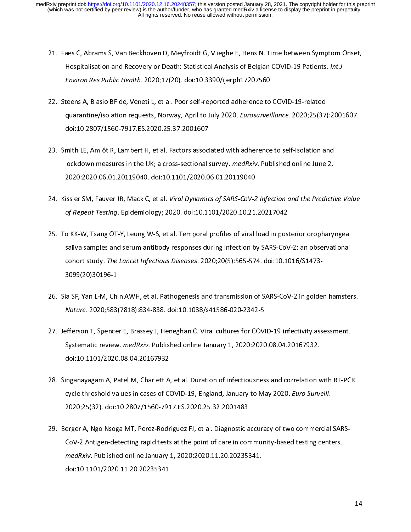- 
- 22. Steens A, Blasio BF de, Veneti L, et al. Poor self-reported adherence to COVID-19 Patients. Int J<br>22. Steens A, Blasio BF de, Veneti L, et al. Poor self-reported adherence to COVID-19-related<br>22. Steens A, Blasio BF de Hospitalisation and Recovery or Death: Statistical Analysis or Belgian COVID-19 Fatients. Int 3<br>Environ Res Public Health. 2020;17(20). doi:10.3390/ijerph17207560<br>teens A, Blasio BF de, Veneti L, et al. Poor self-reported Environ Res Public Health. 2020;17(20). doi:10.33907.jerph17207566<br>teens A, Blasio BF de, Veneti L, et al. Poor self-reported adherence to<br>quarantine/isolation requests, Norway, April to July 2020. Eurosurvei.<br>doi:10.2807/
- 22. Smith LE, Amlôt R, Lambert H, et al. Factors associated with adherence to self-isolation and lockdown measures in the UK; a cross-sectional survey. *medRxiv*. Published online June 2020;2020.06.01.20119040. doi:10.1101 quarantine/isolation requests, Norway, April to July 2020. Eurosurveillance. 2020,25(37):2001607.<br>doi:10.2807/1560-7917.ES.2020.25.37.2001607<br>mith LE, Amlôt R, Lambert H, et al. Factors associated with adherence to self-is mith LE, Amlôt R, Lambert H, et al. Factors associ<br>lockdown measures in the UK; a cross-sectional :<br>2020:2020.06.01.20119040. doi:10.1101/2020.0<br>issler SM, Fauver JR, Mack C, et al. *Viral Dynamic*<br>of Penect Testing, Enide lockdown measures in the UK; a cross-sectional survey. *medRxiv*. Published online June 2,<br>2020:2020.06.01.20119040. doi:10.1101/2020.06.01.20119040<br>24. Kissler SM, Fauver JR, Mack C, et al. *Viral Dynamics of SARS-CoV-2 I*
- lockdown measures in the UK; a cross-sectional survey. *Ineunally*. Published online June 2,<br>2020:2020.06.01.20119040. doi:10.1101/2020.06.01.20119040<br>issler SM, Fauver JR, Mack C, et al. *Viral Dynamics of SARS-CoV-2 Infe*
- EXECUTE IN MERITS CONDITIONS OF SARS-COV-2<br>2020: Repeat Testing. Epidemiology; 2020. doi:10.1101/2020.10.21.<br>20 KK-W, Tsang OT-Y, Leung W-S, et al. Temporal profiles of viral<br>20 KK-W, Tsang OT-Y, Leung W-S, et al. Temporal 24. Kissler SM, Fauver 3M, Mack C, et al. *Viral Dynamics of SARS-CoV-2 Infection and the Predictive Value*<br>of Repeat Testing. Epidemiology; 2020. doi:10.1101/2020.10.21.20217042<br>25. To KK-W, Tsang OT-Y, Leung W-S, et al. of KK-W, Tsang OT-Y, Leung W-S, et al. Temporal profiles of viral load in post<br>saliva samples and serum antibody responses during infection by SARS-CoV<br>cohort study. The Lancet Infectious Diseases. 2020;20(5):565-574. doi: 26. Sia SF, Yan L-M, Chin AWH, et al. Pathogenesis and transmission of SARS-CoV-2: an observational<br>26. Sia SF, Yan L-M, Chin AWH, et al. Pathogenesis and transmission of SARS-CoV-2 in golden hamster<br>26. Sia SF, Yan L-M, C saliva saliva saliva saliva saliva saliva saliva samples and served to the 10.1016/S1473-<br>1999(20)30196-1<br>The SF, Yan L-M, Chin AWH, et al. Pathogenesis and transmission of SARS-CoV-2 in golden hamster<br>Nature. 2020;583(781
- cohort study. The Lancet Infectious Diseases. 2020,20(5):565-574. doi:10.1010/51475-<br>3099(20)30196-1<br>ia SF, Yan L-M, Chin AWH, et al. Pathogenesis and transmission of SARS-CoV-2 in golde<br>Nature. 2020;583(7818):834-838. doi
- a SF, Yan L-M, Chi<br>Mature. 2020;583<br>Perferson T, Spence<br>Systematic review<br>Moi:10.1101/2020 26. Since 2020;583(7818):834-838. doi:10.1038/s41586-020-2342-5<br>27. Jefferson T, Spencer E, Brassey J, Heneghan C. Viral cultures for COVID-19 infectivity assessment.<br>Systematic review. *medRxiv*. Published online January Mature. 2020;383(7010):834-838. doi:10:1038/s41586-020-2342-5<br>efferson T, Spencer E, Brassey J, Heneghan C. Viral cultures for COVI<br>Systematic review. *medRxiv*. Published online January 1, 2020:2020<br>doi:10.1101/2020.08.04
- 27. Jefferson T, Spencer, J. Jeffers, Managemer Premium C. Viral C. Viral Cultures (Managemer E)<br>27. doi:10.1101/2020.08.04.20167932<br>28. Singanayagam A, Patel M, Charlett A, et al. Duration of infectiousness and correlatio Systematic review. medAXiv. Published online January 1, 2020.2020.08.04.20167552.<br>Inganayagam A, Patel M, Charlett A, et al. Duration of infectiousness and correlation v<br>cycle threshold values in cases of COVID-19, England inganayagam A, Patel M, Charlett A,<br>cycle threshold values in cases of C<br>2020;25(32). doi:10.2807/1560-791<br>erger A, Ngo Nsoga MT, Perez-Rodr<br>CoV 2 Antigen detecting rapid tests
- 28. Single threshold values in cases of COVID-19, England, January to May 2020. Euro Surveill.<br>2020;25(32). doi:10.2807/1560-7917.ES.2020.25.32.2001483<br>29. Berger A, Ngo Nsoga MT, Perez-Rodriguez FJ, et al. Diagnostic accu cycle threshold values in cases of COVID-19, England, January to May 2020. Euro Surveill.<br>2020;25(32). doi:10.2807/1560-7917.ES.2020.25.32.2001483<br>erger A, Ngo Nsoga MT, Perez-Rodriguez FJ, et al. Diagnostic accuracy of tw erger A, Ngo Nsoga MT, Perez-Rodriguez FJ, et al. Diagnostic a<br>CoV-2 Antigen-detecting rapid tests at the point of care in con<br>medRxiv. Published online January 1, 2020:2020.11.20.202353<br>doi:10.1101/2020.11.20.20235341  $medRxiv. \text{ Published online January 1, } 2020:2020.11.20.20235341. \text{doi:10.1101/2020.11.20.20235341.}$ medRXIV. Published online January 1, 2020.2020.11.20.20235341.<br>doi:10.1101/2020.11.20.20235341<br>. doi:10.1101/2020.11.20.20235341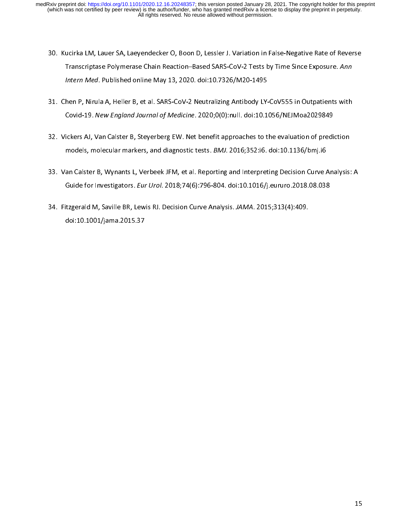- 31. Chen P, Nirula A, Heller B, et al. SARS-CoV-2 Neutralian Property CoV-2 Tests by Time Since Exposure. Ann<br>31. Chen P, Nirula A, Heller B, et al. SARS-CoV-2 Neutralizing Antibody LY-CoV555 in Outpatients with<br>31. Chen P
- Transcriptase Polymerase Chain Reaction–Based SARS-CoV-2 Tests by Time Since Exposure. Ann<br>Intern Med. Published online May 13, 2020. doi:10.7326/M20-1495<br>hen P, Nirula A, Heller B, et al. SARS-CoV-2 Neutralizing Antibody
- Intern Med. Published online May 13, 2020. doi:10.7320/M20-1433<br>
Intern Med. Published online May 13, 2020. doi:10.7320/M20-1433<br>
Covid-19. New England Journal of Medicine. 2020;0(0):null. doi:10.1<br>
Ickers AJ, Van Calster 31. Vickers AJ, Van Calster B, Steyerberg EW. Net benefit approaches to the evaluation of prediction<br>32. Vickers AJ, Van Calster B, Steyerberg EW. Net benefit approaches to the evaluation of prediction<br>33. Van Calster B, W
- Covid-19. New England Journal of Medicine. 2020;0(0):null. doi:10.1056/NEJMoa2025849<br>ickers AJ, Van Calster B, Steyerberg EW. Net benefit approaches to the evaluation of predi-<br>models, molecular markers, and diagnostic tes models, molecular markers, and diagnostic tests. *BMJ*. 2016;352:i6. doi:10.1136/bmj.i6<br>33. Van Calster B, Wynants L, Verbeek JFM, et al. Reporting and Interpreting Decision Curve Analysis<br>Guide for Investigators. *Eur Uro* models, molecular markers, and diagnostic tests. *BMJ.* 2016;352:i6. doi:10.113676mj.i6<br>an Calster B, Wynants L, Verbeek JFM, et al. Reporting and Interpreting Decision Curve A<br>Guide for Investigators. *Eur Urol.* 2018;74(
- 34. Fitzgerald M, Saville BR, Lewis RJ. Decision Curve Analysis. JAMA. 2015;313(4):409.<br>doi:10.1001/jama.2015.37 Guide for Investigators. Eur Urol. 2010;74(0):756-804. doi:10:10107j.euraro.2018.08.038<br>Itzgerald M, Saville BR, Lewis RJ. Decision Curve Analysis. JAMA. 2015;313(4):409.<br>doi:10.1001/jama.2015.37 34. Fitzgerald M, Saville Br, Lewis RJ. Decision Curve Analysis. JAMA. 2015;313(4):409.<br>doi:10.1001/jama.2015.37 doi:10.1001/jama.2015.37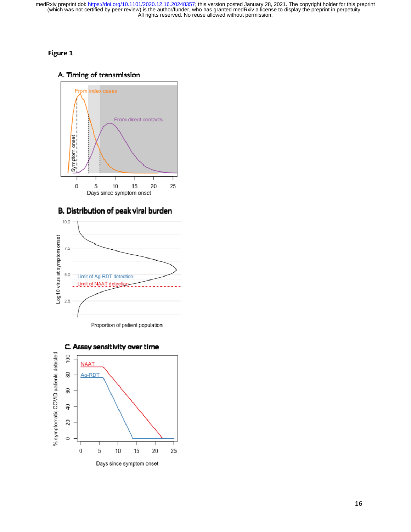# Figure 1

# A. Timing of transmission



B. Distribution of peak viral burden







C. Assay sensitivity over time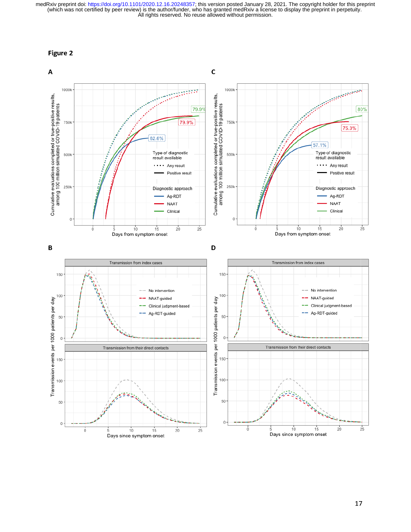

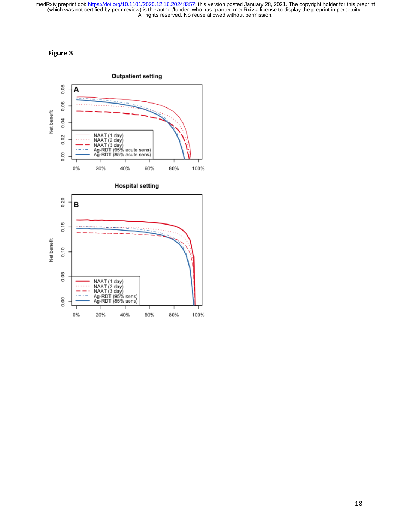# Figure 3

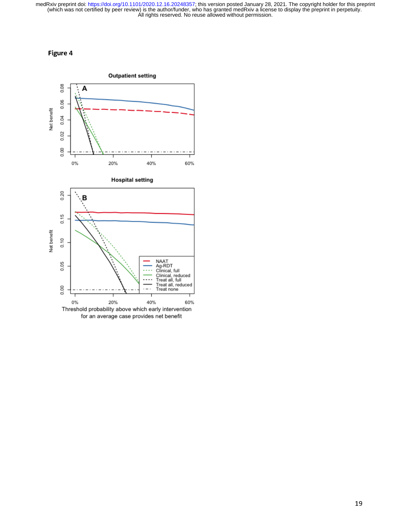

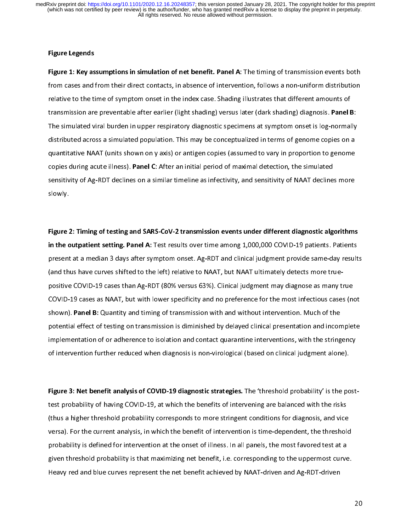# Figure Legends

Figure 1: Key assumptions in simulation of net benefit. Panel A: The timing of transmission events both<br>from cases and from their direct contacts, in absence of intervention, follows a non-uniform distribution<br>relative to relative to the time of symptom onset in the index case. Shading illustrates that different amounts of<br>transmission are preventable after earlier (light shading) versus later (dark shading) diagnosis. **Panel B:**<br>The simula transmission are preventable after earlier (light shading) versus later (dark shading) diagnosis. Panel I<br>The simulated viral burden in upper respiratory diagnostic specimens at symptom onset is log-normal<br>distributed acro transmission are preventable after earlier (light shading) versus later (dark shading) diagnosis. Panel B:<br>The simulated viral burden in upper respiratory diagnostic specimens at symptom onset is log-normally<br>distributed a The simulated across a simulated population. This may be conceptualized in terms of genome copies on a quantitative NAAT (units shown on y axis) or antigen copies (assumed to vary in proportion to genome copies during acut distributed across a simulation population. The conceptualization is opened to particle in the quantitative NAAT (units shown on y axis) or antigen copies (assumed to vary in proportion to genome copies during acute illnes copies during acute illness). Panel C: After an initial period of maximal detection, the simulated<br>sensitivity of Ag-RDT declines on a similar timeline as infectivity, and sensitivity of NAAT declines more<br>slowly.<br>Figure 2 copies during acute illness). Panel C: After an initial period of maximal detection, the simulated<br>sensitivity of Ag-RDT declines on a similar timeline as infectivity, and sensitivity of NAAT decline<br>slowly.<br>Figure 2: Timi

slowly.<br>Slowly.<br>Figure 2: Timing of testing and SARS-CoV-2 transmission events under different diagnostic algorithms<br>in the outpatient setting. Panel A: Test results over time among 1,000,000 COVID-19 patients. Patients<br>pr Figure<br>Figure<br>in the o<br>present<br>(and th Figure 2: Timing of testing and SARS-CoV-2 transmission events under different diagnostic algorithms in the outpatient setting. Panel A: Test results over time among 1,000,000 COVID-19 patients. Patients<br>present at a median 3 days after symptom onset. Ag-RDT and clinical judgment provide same-day result<br>(and thus have cur present at a median state stripper and stripper and stripper and stripper and stripper and thus have curves shifted to the left) relative to NAAT, but NAAT ultimately detects more true-<br>positive COVID-19 cases than Ag-RDT of intervention further reduced when diagnosis is non-virological (based on clinical judgment alone). positive COVID-19 cases as NAAT, but with lower specificity and no preference for the most infectious cases (no<br>shown). **Panel B:** Quantity and timing of transmission with and without intervention. Much of the<br>potential ef shown). **Panel B:** Quantity and timing of transmission with and without intervention. Much of the<br>potential effect of testing on transmission is diminished by delayed clinical presentation and incomplete<br>implementation of shown). Fanch B: Quantity and timing of transmission with and without intervention. Much of the<br>potential effect of testing on transmission is diminished by delayed clinical presentation and incon<br>implementation of or adhe implementation of or adherence to isolation and contact quarantine interventions, with the stringency<br>of intervention further reduced when diagnosis is non-virological (based on clinical judgment alone).<br>Figure 3: Net bene

implementation of intervention further reduced when diagnosis is non-virological (based on clinical judgment alone).<br>Figure 3: Net benefit analysis of COVID-19 diagnostic strategies. The 'threshold probability' is the post Figure 3: Net benefit analysis of COVID-19 diagnostic strategies. The 'threshold probability' is the po<br>test probability of having COVID-19, at which the benefits of intervening are balanced with the risks<br>(thus a higher t Figure 3: Net benefit analysis of COVID-19 diagnostic strategies. The 'threshold probability' is the post-<br>test probability of having COVID-19, at which the benefits of intervening are balanced with the risks<br>(thus a highe (thus a higher threshold probability corresponds to more stringent conditions for diagnosis, and vice<br>versa). For the current analysis, in which the benefit of intervention is time-dependent, the threshol<br>probability is de (the second in the sense of illness. In all panels, the most favored test at a given threshold probability is that maximizing net benefit, i.e. corresponding to the uppermost curve<br>Heavy red and blue curves represent the n probability is defined for intervention at the onset of illness. In all panels, the most favored test at a<br>given threshold probability is that maximizing net benefit, i.e. corresponding to the uppermost curve.<br>Heavy red an probability is that maximizing net benefit, i.e. corresponding to the uppermost curve<br>Heavy red and blue curves represent the net benefit achieved by NAAT-driven and Ag-RDT-driven<br>Heavy red and blue curves represent the ne Heavy red and blue curves represent the net benefit achieved by NAAT-driven and Ag-RDT-driven<br>Heavy red and blue curves represent the net benefit achieved by NAAT-driven and Ag-RDT-driven Heavy red and blue curves represent the net benefit achieved by NAAT-driven and Ag-RDT-driven